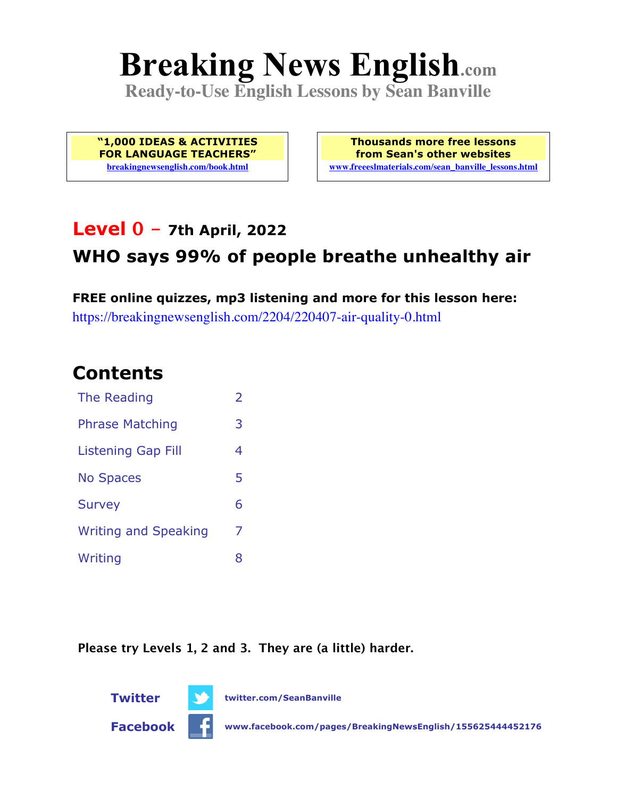# **Breaking News English.com**

**Ready-to-Use English Lessons by Sean Banville**

**"1,000 IDEAS & ACTIVITIES FOR LANGUAGE TEACHERS" breakingnewsenglish.com/book.html**

**Thousands more free lessons from Sean's other websites www.freeeslmaterials.com/sean\_banville\_lessons.html**

### **Level 0 - 7th April, 2022**

## **WHO says 99% of people breathe unhealthy air**

**FREE online quizzes, mp3 listening and more for this lesson here:** https://breakingnewsenglish.com/2204/220407-air-quality-0.html

### **Contents**

| The Reading                 |   |
|-----------------------------|---|
| <b>Phrase Matching</b>      |   |
| <b>Listening Gap Fill</b>   | 4 |
| <b>No Spaces</b>            | 5 |
| <b>Survey</b>               | 6 |
| <b>Writing and Speaking</b> | 7 |
| Writing                     | 8 |

**Please try Levels 1, 2 and 3. They are (a little) harder.**





**Facebook www.facebook.com/pages/BreakingNewsEnglish/155625444452176**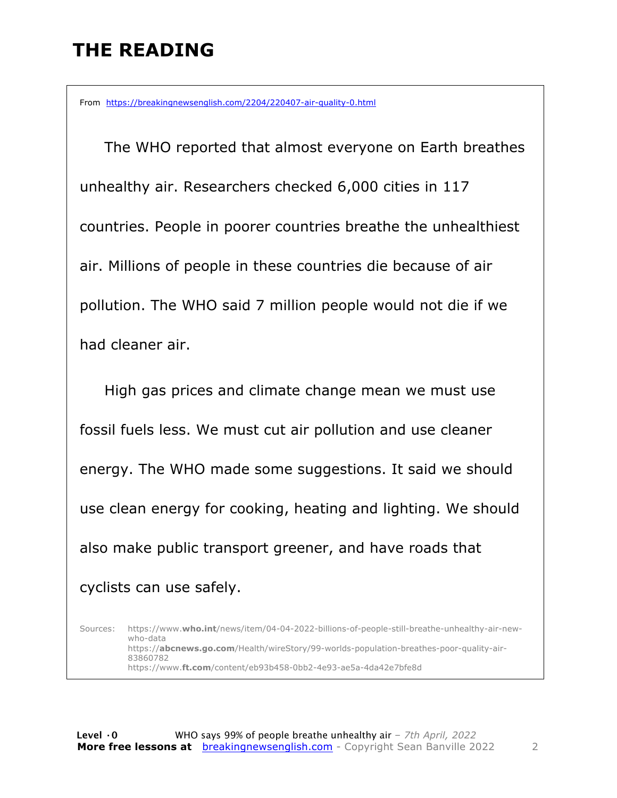## **THE READING**

From https://breakingnewsenglish.com/2204/220407-air-quality-0.html

 The WHO reported that almost everyone on Earth breathes unhealthy air. Researchers checked 6,000 cities in 117 countries. People in poorer countries breathe the unhealthiest air. Millions of people in these countries die because of air pollution. The WHO said 7 million people would not die if we had cleaner air.

High gas prices and climate change mean we must use fossil fuels less. We must cut air pollution and use cleaner energy. The WHO made some suggestions. It said we should use clean energy for cooking, heating and lighting. We should also make public transport greener, and have roads that cyclists can use safely.

Sources: https://www.**who.int**/news/item/04-04-2022-billions-of-people-still-breathe-unhealthy-air-newwho-data https://**abcnews.go.com**/Health/wireStory/99-worlds-population-breathes-poor-quality-air-83860782 https://www.**ft.com**/content/eb93b458-0bb2-4e93-ae5a-4da42e7bfe8d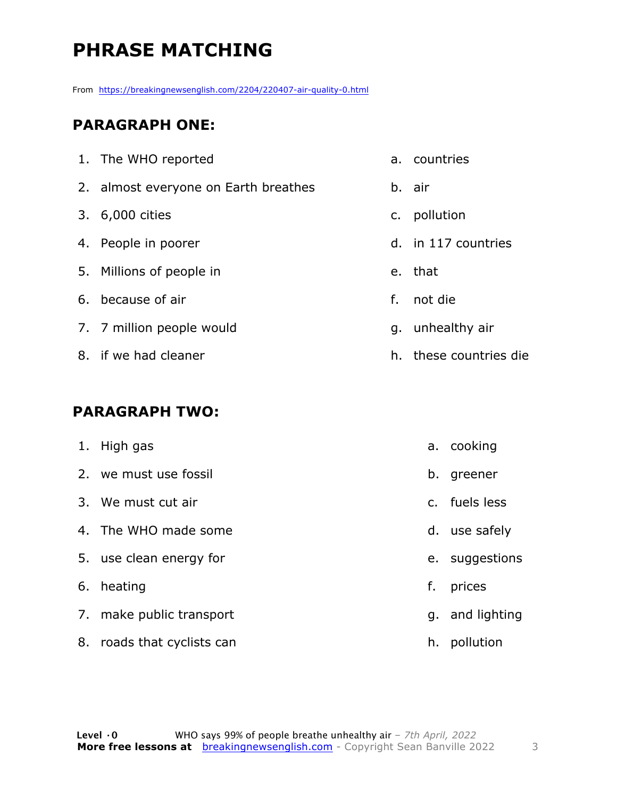# **PHRASE MATCHING**

From https://breakingnewsenglish.com/2204/220407-air-quality-0.html

#### **PARAGRAPH ONE:**

| 1. The WHO reported                  |    | a. countries           |
|--------------------------------------|----|------------------------|
| 2. almost everyone on Earth breathes |    | b. air                 |
| 3. 6,000 cities                      |    | c. pollution           |
| 4. People in poorer                  |    | d. in 117 countries    |
| 5. Millions of people in             |    | e. that                |
| 6. because of air                    | f. | not die                |
| 7. 7 million people would            |    | g. unhealthy air       |
| 8. if we had cleaner                 |    | h. these countries die |

#### **PARAGRAPH TWO:**

| 1. High gas                |    | a. cooking      |
|----------------------------|----|-----------------|
| 2. we must use fossil      |    | b. greener      |
| 3. We must cut air         |    | c. fuels less   |
| 4. The WHO made some       |    | d. use safely   |
| 5. use clean energy for    |    | e. suggestions  |
| 6. heating                 | f. | prices          |
| 7. make public transport   |    | g. and lighting |
| 8. roads that cyclists can | h. | pollution       |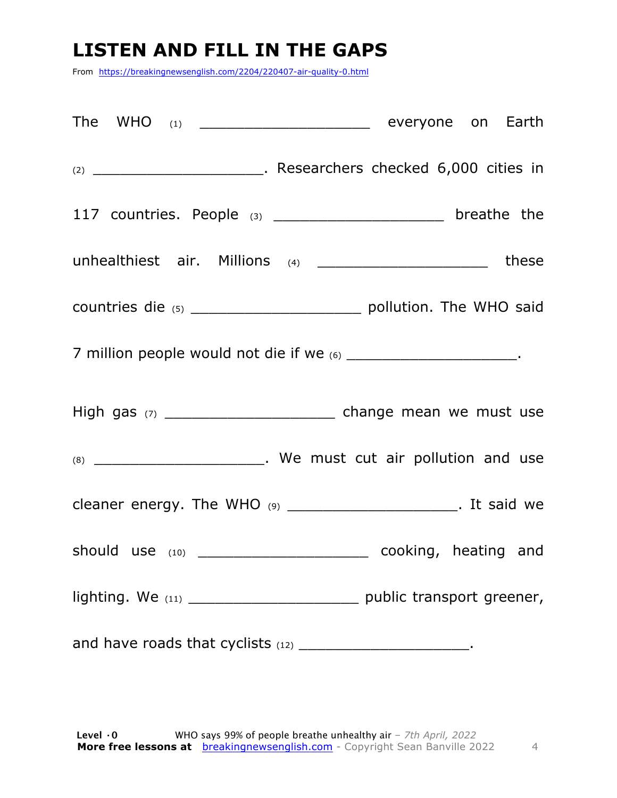## **LISTEN AND FILL IN THE GAPS**

From https://breakingnewsenglish.com/2204/220407-air-quality-0.html

| 117 countries. People $(3)$ _________________________ breathe the     |
|-----------------------------------------------------------------------|
| unhealthiest air. Millions (4) ___________________________ these      |
|                                                                       |
| 7 million people would not die if we (6) ________________________.    |
| High gas (7) ________________________________ change mean we must use |
| (8) _____________________________. We must cut air pollution and use  |
| cleaner energy. The WHO (9) _______________________. It said we       |
| should use (10) ______________________________ cooking, heating and   |
|                                                                       |
| and have roads that cyclists (12) ____________________________.       |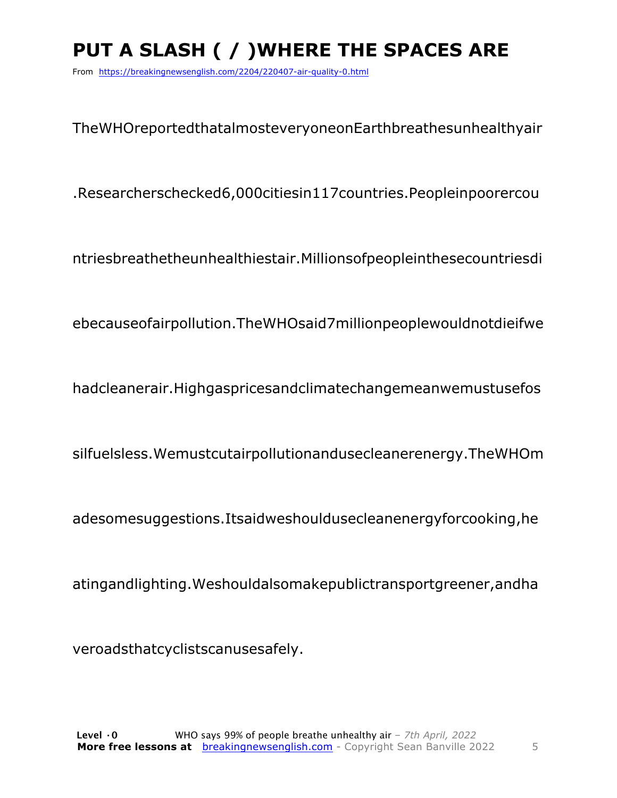# **PUT A SLASH ( / )WHERE THE SPACES ARE**

From https://breakingnewsenglish.com/2204/220407-air-quality-0.html

TheWHOreportedthatalmosteveryoneonEarthbreathesunhealthyair

.Researcherschecked6,000citiesin117countries.Peopleinpoorercou

ntriesbreathetheunhealthiestair.Millionsofpeopleinthesecountriesdi

ebecauseofairpollution.TheWHOsaid7millionpeoplewouldnotdieifwe

hadcleanerair.Highgaspricesandclimatechangemeanwemustusefos

silfuelsless.Wemustcutairpollutionandusecleanerenergy.TheWHOm

adesomesuggestions.Itsaidweshouldusecleanenergyforcooking,he

atingandlighting.Weshouldalsomakepublictransportgreener,andha

veroadsthatcyclistscanusesafely.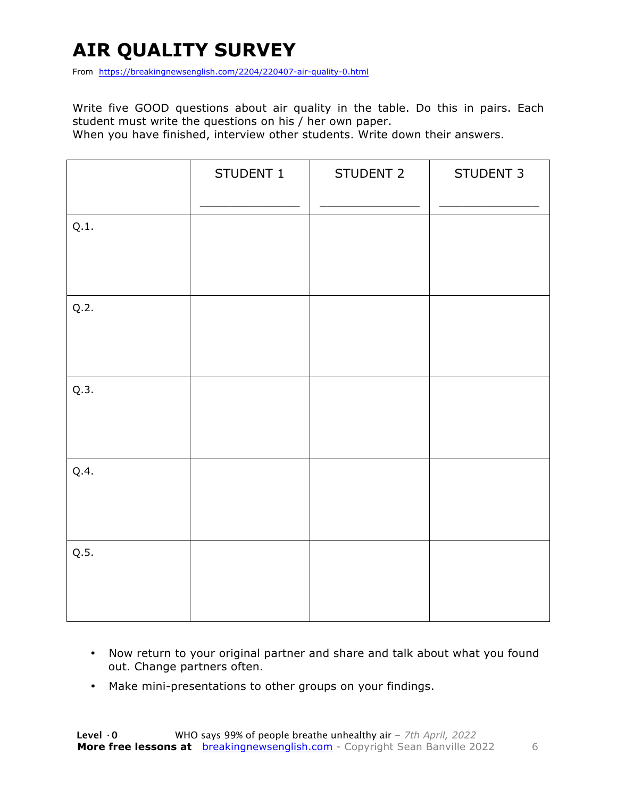# **AIR QUALITY SURVEY**

From https://breakingnewsenglish.com/2204/220407-air-quality-0.html

Write five GOOD questions about air quality in the table. Do this in pairs. Each student must write the questions on his / her own paper.

When you have finished, interview other students. Write down their answers.

|      | STUDENT 1 | STUDENT 2 | STUDENT 3 |
|------|-----------|-----------|-----------|
| Q.1. |           |           |           |
| Q.2. |           |           |           |
| Q.3. |           |           |           |
| Q.4. |           |           |           |
| Q.5. |           |           |           |

- Now return to your original partner and share and talk about what you found out. Change partners often.
- Make mini-presentations to other groups on your findings.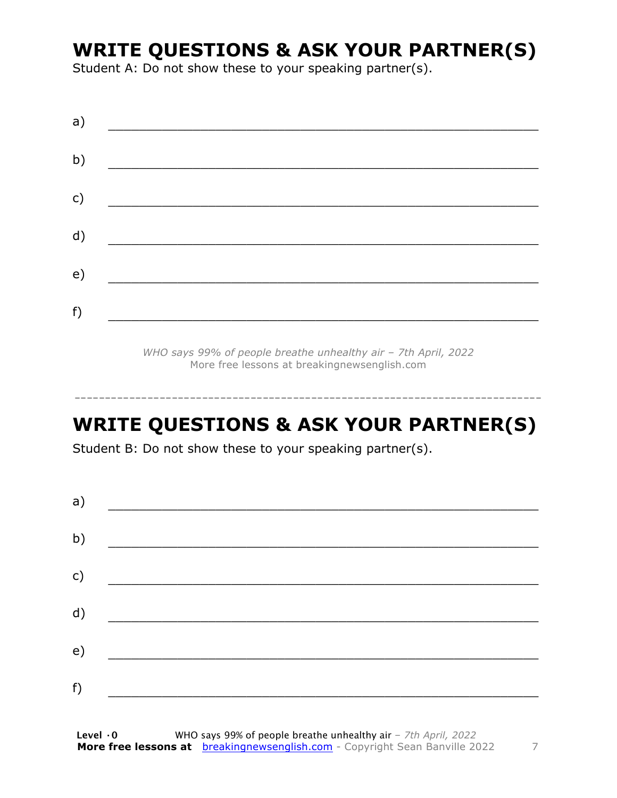### **WRITE QUESTIONS & ASK YOUR PARTNER(S)**

Student A: Do not show these to your speaking partner(s).

*WHO says 99% of people breathe unhealthy air – 7th April, 2022* More free lessons at breakingnewsenglish.com

### **WRITE QUESTIONS & ASK YOUR PARTNER(S)**

-----------------------------------------------------------------------------

Student B: Do not show these to your speaking partner(s).

| a) |  |  |
|----|--|--|
| b) |  |  |
| c) |  |  |
| d) |  |  |
| e) |  |  |
| f) |  |  |
|    |  |  |